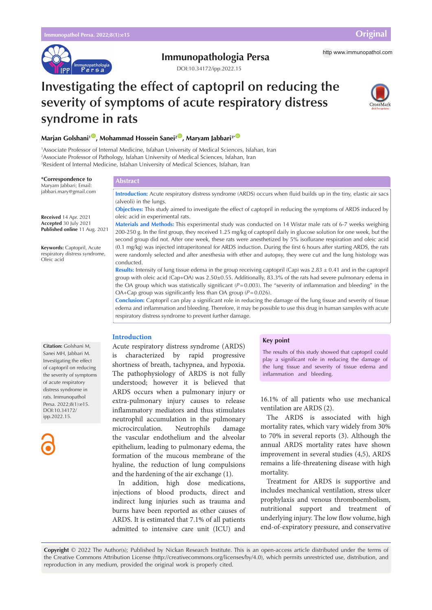

# **Immunopathologia Persa** http [www.immunopathol.com](http://www.immunopathol.com)

DOI[:10.34172/ipp.2022.15](https://doi.org/10.34172/ipp.2022.15)

# **Investigating the effect of captopril on reducing the severity of symptoms of acute respiratory distress syndrome in rats**



# **Marjan Golshani<sup>1</sup><sup>10</sup>, Mohammad Hossein Sanei<sup>2<sup>10</sup>, Maryam Jabbari<sup>3\* 10</sup>**</sup>

**Abstract**

1 Associate Professor of Internal Medicine, Isfahan University of Medical Sciences, Isfahan, Iran 2 Associate Professor of Pathology, Isfahan University of Medical Sciences, Isfahan, Iran 3 Resident of Internal Medicine, Isfahan University of Medical Sciences, Isfahan, Iran

#### **\*Correspondence to** Maryam Jabbari; Email: [jabbari.mary@gmail.com](mailto:jabbari.mary@gmail.com)

**Received** 14 Apr. 2021 **Accepted** 30 July 2021 **Published online** 11 Aug. 2021

**Keywords:** Captopril, Acute respiratory distress syndrome, Oleic acid

**Introduction:** Acute respiratory distress syndrome (ARDS) occurs when fluid builds up in the tiny, elastic air sacs (alveoli) in the lungs.

**Objectives:** This study aimed to investigate the effect of captopril in reducing the symptoms of ARDS induced by oleic acid in experimental rats.

**Materials and Methods:** This experimental study was conducted on 14 Wistar male rats of 6-7 weeks weighing 200-250 g. In the first group, they received 1.25 mg/kg of captopril daily in glucose solution for one week, but the second group did not. After one week, these rats were anesthetized by 5% isoflurane respiration and oleic acid (0.1 mg/kg) was injected intraperitoneal for ARDS induction. During the first 6 hours after starting ARDS, the rats were randomly selected and after anesthesia with ether and autopsy, they were cut and the lung histology was conducted.

**Results:** Intensity of lung tissue edema in the group receiving captopril (Cap) was 2.83 ± 0.41 and in the captopril group with oleic acid (Cap+OA) was 2.50±0.55. Additionally, 83.3% of the rats had severe pulmonary edema in the OA group which was statistically significant (*P*=0.003). The "severity of inflammation and bleeding" in the OA+Cap group was significantly less than OA group  $(P=0.026)$ .

**Conclusion:** Captopril can play a significant role in reducing the damage of the lung tissue and severity of tissue edema and inflammation and bleeding. Therefore, it may be possible to use this drug in human samples with acute respiratory distress syndrome to prevent further damage.

# **Introduction**

Acute respiratory distress syndrome (ARDS) is characterized by rapid progressive shortness of breath, tachypnea, and hypoxia. The pathophysiology of ARDS is not fully understood; however it is believed that ARDS occurs when a pulmonary injury or extra-pulmonary injury causes to release inflammatory mediators and thus stimulates neutrophil accumulation in the pulmonary microcirculation. Neutrophils damage the vascular endothelium and the alveolar epithelium, leading to pulmonary edema, the formation of the mucous membrane of the hyaline, the reduction of lung compulsions and the hardening of the air exchange (1).

In addition, high dose medications, injections of blood products, direct and indirect lung injuries such as trauma and burns have been reported as other causes of ARDS. It is estimated that 7.1% of all patients admitted to intensive care unit (ICU) and

#### **Key point**

The results of this study showed that captopril could play a significant role in reducing the damage of the lung tissue and severity of tissue edema and inflammation and bleeding.

16.1% of all patients who use mechanical ventilation are ARDS (2).

The ARDS is associated with high mortality rates, which vary widely from 30% to 70% in several reports (3). Although the annual ARDS mortality rates have shown improvement in several studies (4,5), ARDS remains a life-threatening disease with high mortality.

Treatment for ARDS is supportive and includes mechanical ventilation, stress ulcer prophylaxis and venous thromboembolism, nutritional support and treatment of underlying injury. The low flow volume, high end-of-expiratory pressure, and conservative

**Copyright** © 2022 The Author(s); Published by Nickan Research Institute. This is an open-access article distributed under the terms of the Creative Commons Attribution License (http://creativecommons.org/licenses/by/4.0), which permits unrestricted use, distribution, and reproduction in any medium, provided the original work is properly cited.

**Citation:** Golshani M, Sanei MH, Jabbari M. Investigating the effect of captopril on reducing the severity of symptoms of acute respiratory distress syndrome in rats. Immunopathol Persa. 2022;8(1):e15. DOI:10.34172/ ipp.2022.15.

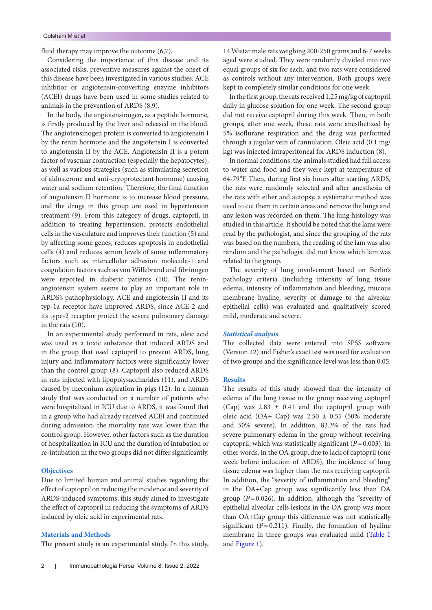fluid therapy may improve the outcome (6,7).

Considering the importance of this disease and its associated risks, preventive measures against the onset of this disease have been investigated in various studies. ACE inhibitor or angiotensin-converting enzyme inhibitors (ACEI) drugs have been used in some studies related to animals in the prevention of ARDS (8,9).

In the body, the angiotensinogen, as a peptide hormone, is firstly produced by the liver and released in the blood. The angiotensinogen protein is converted to angiotensin I by the renin hormone and the angiotensin I is converted to angiotensin II by the ACE. Angiotensin II is a potent factor of vascular contraction (especially the hepatocytes), as well as various strategies (such as stimulating secretion of aldosterone and anti-cryoprotectant hormone) causing water and sodium retention. Therefore, the final function of angiotensin II hormone is to increase blood pressure, and the drugs in this group are used in hypertension treatment (9). From this category of drugs, captopril, in addition to treating hypertension, protects endothelial cells in the vasculature and improves their function (5) and by affecting some genes, reduces apoptosis in endothelial cells (4) and reduces serum levels of some inflammatory factors such as intercellular adhesion molecule-1 and coagulation factors such as von Willebrand and fibrinogen were reported in diabetic patients (10). The reninangiotensin system seems to play an important role in ARDS's pathophysiology. ACE and angiotensin II and its typ-1a receptor have improved ARDS, since ACE-2 and its type-2 receptor protect the severe pulmonary damage in the rats (10).

In an experimental study performed in rats, oleic acid was used as a toxic substance that induced ARDS and in the group that used captopril to prevent ARDS, lung injury and inflammatory factors were significantly lower than the control group (8). Captopril also reduced ARDS in rats injected with lipopolysaccharides (11), and ARDS caused by meconium aspiration in pigs (12). In a human study that was conducted on a number of patients who were hospitalized in ICU due to ARDS, it was found that in a group who had already received ACEI and continued during admission, the mortality rate was lower than the control group. However, other factors such as the duration of hospitalization in ICU and the duration of intubation or re-intubation in the two groups did not differ significantly.

#### **Objectives**

Due to limited human and animal studies regarding the effect of captopril on reducing the incidence and severity of ARDS-induced symptoms, this study aimed to investigate the effect of captopril in reducing the symptoms of ARDS induced by oleic acid in experimental rats.

### **Materials and Methods**

The present study is an experimental study. In this study,

14 Wistar male rats weighing 200-250 grams and 6-7 weeks aged were studied. They were randomly divided into two equal groups of six for each, and two rats were considered as controls without any intervention. Both groups were kept in completely similar conditions for one week.

In the first group, the rats received 1.25 mg/kg of captopril daily in glucose solution for one week. The second group did not receive captopril during this week. Then, in both groups, after one week, these rats were anesthetized by 5% isoflurane respiration and the drug was performed through a jugular vein of cannulation. Oleic acid (0.1 mg/ kg) was injected intraperitoneal for ARDS induction (8).

In normal conditions, the animals studied had full access to water and food and they were kept at temperature of 64-79°F. Then, during first six hours after starting ARDS, the rats were randomly selected and after anesthesia of the rats with ether and autopsy, a systematic method was used to cut them in certain areas and remove the lungs and any lesion was recorded on them. The lung histology was studied in this article. It should be noted that the lams were read by the pathologist, and since the grouping of the rats was based on the numbers, the reading of the lam was also random and the pathologist did not know which lam was related to the group.

The severity of lung involvement based on Berlin's pathology criteria (including intensity of lung tissue edema, intensity of inflammation and bleeding, mucous membrane hyaline, severity of damage to the alveolar epithelial cells) was evaluated and qualitatively scored mild, moderate and severe.

### *Statistical analysis*

The collected data were entered into SPSS software (Version 22) and Fisher's exact test was used for evaluation of two groups and the significance level was less than 0.05.

## **Results**

The results of this study showed that the intensity of edema of the lung tissue in the group receiving captopril (Cap) was 2.83 ± 0.41 and the captopril group with oleic acid (OA+ Cap) was  $2.50 \pm 0.55$  (50% moderate and 50% severe). In addition, 83.3% of the rats had severe pulmonary edema in the group without receiving captopril, which was statistically significant (*P*=0.003). In other words, in the OA group, due to lack of captopril (one week before induction of ARDS), the incidence of lung tissue edema was higher than the rats receiving captopril. In addition, the "severity of inflammation and bleeding" in the OA+Cap group was significantly less than OA group ( $P=0.026$ ). In addition, although the "severity of epithelial alveolar cells lesions in the OA group was more than OA+Cap group this difference was not statistically significant  $(P=0.211)$ . Finally, the formation of hyaline membrane in three groups was evaluated mild ([Table 1](#page-2-0)  and [Figure 1\)](#page-2-1).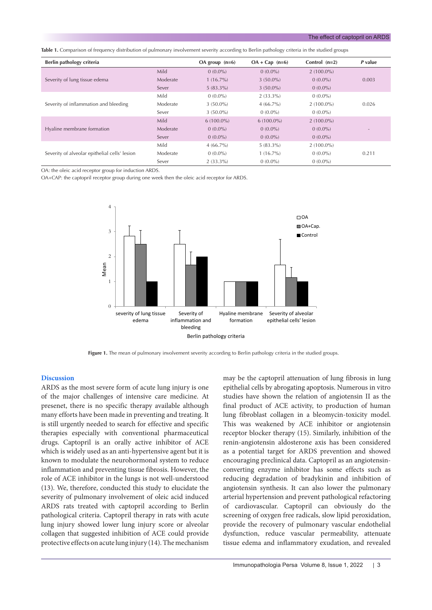<span id="page-2-0"></span>**Table 1.** Comparison of frequency distribution of pulmonary involvement severity according to Berlin pathology criteria in the studied groups

| Berlin pathology criteria                     |          | OA group $(n=6)$ | $OA + Cap (n=6)$ | Control $(n=2)$ | P value |
|-----------------------------------------------|----------|------------------|------------------|-----------------|---------|
| Severity of lung tissue edema                 | Mild     | $0(0.0\%)$       | $0(0.0\%)$       | $2(100.0\%)$    |         |
|                                               | Moderate | $1(16.7\%)$      | $3(50.0\%)$      | $0(0.0\%)$      | 0.003   |
|                                               | Sever    | $5(83.3\%)$      | $3(50.0\%)$      | $0(0.0\%)$      |         |
| Severity of inflammation and bleeding         | Mild     | $0(0.0\%)$       | $2(33.3\%)$      | $0(0.0\%)$      |         |
|                                               | Moderate | $3(50.0\%)$      | $4(66.7\%)$      | $2(100.0\%)$    | 0.026   |
|                                               | Sever    | $3(50.0\%)$      | $0(0.0\%)$       | $0(0.0\%)$      |         |
| Hyaline membrane formation                    | Mild     | $6(100.0\%)$     | $6(100.0\%)$     | $2(100.0\%)$    |         |
|                                               | Moderate | $0(0.0\%)$       | $0(0.0\%)$       | $0(0.0\%)$      |         |
|                                               | Sever    | $0(0.0\%)$       | $0(0.0\%)$       | $0(0.0\%)$      |         |
| Severity of alveolar epithelial cells' lesion | Mild     | $4(66.7\%)$      | $5(83.3\%)$      | $2(100.0\%)$    |         |
|                                               | Moderate | $0(0.0\%)$       | $1(16.7\%)$      | $0(0.0\%)$      | 0.211   |
|                                               | Sever    | $2(33.3\%)$      | $0(0.0\%)$       | $0(0.0\%)$      |         |

OA: the oleic acid receptor group for induction ARDS.

OA+CAP: the captopril receptor group during one week then the oleic acid receptor for ARDS.

<span id="page-2-1"></span>

Figure 1. The mean of pulmonary involvement severity according to Berlin pathology criteria in the studied groups.

### **Discussion**

ARDS as the most severe form of acute lung injury is one of the major challenges of intensive care medicine. At presenet, there is no specific therapy available although many efforts have been made in preventing and treating. It is still urgently needed to search for effective and specific therapies especially with conventional pharmaceutical drugs. Captopril is an orally active inhibitor of ACE which is widely used as an anti-hypertensive agent but it is known to modulate the neurohormonal system to reduce inflammation and preventing tissue fibrosis. However, the role of ACE inhibitor in the lungs is not well-understood (13). We, therefore, conducted this study to elucidate the severity of pulmonary involvement of oleic acid induced ARDS rats treated with captopril according to Berlin pathological criteria. Captopril therapy in rats with acute lung injury showed lower lung injury score or alveolar collagen that suggested inhibition of ACE could provide protective effects on acute lung injury (14). The mechanism

may be the captopril attenuation of lung fibrosis in lung epithelial cells by abrogating apoptosis. Numerous in vitro studies have shown the relation of angiotensin II as the final product of ACE activity, to production of human lung fibroblast collagen in a bleomycin-toxicity model. This was weakened by ACE inhibitor or angiotensin receptor blocker therapy (15). Similarly, inhibition of the renin-angiotensin aldosterone axis has been considered as a potential target for ARDS prevention and showed encouraging preclinical data. Captopril as an angiotensinconverting enzyme inhibitor has some effects such as reducing degradation of bradykinin and inhibition of angiotensin synthesis. It can also lower the pulmonary arterial hypertension and prevent pathological refactoring of cardiovascular. Captopril can obviously do the screening of oxygen free radicals, slow lipid peroxidation, provide the recovery of pulmonary vascular endothelial dysfunction, reduce vascular permeability, attenuate tissue edema and inflammatory exudation, and revealed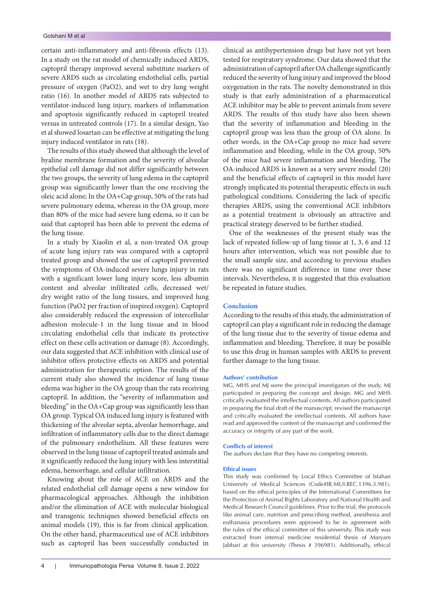certain anti-inflammatory and anti-fibrosis effects (13). In a study on the rat model of chemically induced ARDS, captopril therapy improved several substitute markers of severe ARDS such as circulating endothelial cells, partial pressure of oxygen (PaO2), and wet to dry lung weight ratio (16). In another model of ARDS rats subjected to ventilator-induced lung injury, markers of inflammation and apoptosis significantly reduced in captopril treated versus in untreated controls (17). In a similar design, Yao et al showed losartan can be effective at mitigating the lung injury induced ventilator in rats (18).

The results of this study showed that although the level of hyaline membrane formation and the severity of alveolar epithelial cell damage did not differ significantly between the two groups, the severity of lung edema in the captopril group was significantly lower than the one receiving the oleic acid alone; In the OA+Cap group, 50% of the rats had severe pulmonary edema, whereas in the OA group, more than 80% of the mice had severe lung edema, so it can be said that captopril has been able to prevent the edema of the lung tissue.

In a study by Xiaolin et al, a non-treated OA group of acute lung injury rats was compared with a captopril treated group and showed the use of captopril prevented the symptoms of OA-induced severe lungs injury in rats with a significant lower lung injury score, less albumin content and alveolar infiltrated cells, decreased wet/ dry weight ratio of the lung tissues, and improved lung function (PaO2 per fraction of inspired oxygen). Captopril also considerably reduced the expression of intercellular adhesion molecule-1 in the lung tissue and in blood circulating endothelial cells that indicate its protective effect on these cells activation or damage (8). Accordingly, our data suggested that ACE inhibition with clinical use of inhibitor offers protective effects on ARDS and potential administration for therapeutic option. The results of the current study also showed the incidence of lung tissue edema was higher in the OA group than the rats receiving captopril. In addition, the "severity of inflammation and bleeding" in the OA+Cap group was significantly less than OA group. Typical OA induced lung injury is featured with thickening of the alveolar septa, alveolar hemorrhage, and infiltration of inflammatory cells due to the direct damage of the pulmonary endothelium. All these features were observed in the lung tissue of captopril treated animals and it significantly reduced the lung injury with less interstitial edema, hemorrhage, and cellular infiltration.

Knowing about the role of ACE on ARDS and the related endothelial cell damage opens a new window for pharmacological approaches. Although the inhibition and/or the elimination of ACE with molecular biological and transgenic techniques showed beneficial effects on animal models (19), this is far from clinical application. On the other hand, pharmaceutical use of ACE inhibitors such as captopril has been successfully conducted in

4 Immunopathologia Persa Volume 8, Issue 2, 2022

clinical as antihypertension drugs but have not yet been tested for respiratory syndrome. Our data showed that the administration of captopril after OA challenge significantly reduced the severity of lung injury and improved the blood oxygenation in the rats. The novelty demonstrated in this study is that early administration of a pharmaceutical ACE inhibitor may be able to prevent animals from severe ARDS. The results of this study have also been shown that the severity of inflammation and bleeding in the captopril group was less than the group of OA alone. In other words, in the OA+Cap group no mice had severe inflammation and bleeding, while in the OA group, 50% of the mice had severe inflammation and bleeding. The OA-induced ARDS is known as a very severe model (20) and the beneficial effects of captopril in this model have strongly implicated its potential therapeutic effects in such pathological conditions. Considering the lack of specific therapies ARDS, using the conventional ACE inhibitors as a potential treatment is obviously an attractive and practical strategy deserved to be further studied.

One of the weaknesses of the present study was the lack of repeated follow-up of lung tissue at 1, 3, 6 and 12 hours after intervention, which was not possible due to the small sample size, and according to previous studies there was no significant difference in time over these intervals. Nevertheless, it is suggested that this evaluation be repeated in future studies.

#### **Conclusion**

According to the results of this study, the administration of captopril can play a significant role in reducing the damage of the lung tissue due to the severity of tissue edema and inflammation and bleeding. Therefore, it may be possible to use this drug in human samples with ARDS to prevent further damage to the lung tissue.

#### **Authors' contribution**

MG, MHS and MJ were the principal investigators of the study. MJ participated in preparing the concept and design. MG and MHS critically evaluated the intellectual contents. All authors participated in preparing the final draft of the manuscript, revised the manuscript and critically evaluated the intellectual contents. All authors have read and approved the content of the manuscript and confirmed the accuracy or integrity of any part of the work.

#### **Conflicts of interest**

The authors declare that they have no competing interests.

#### **Ethical issues**

This study was confirmed by Local Ethics Committee of Isfahan University of Medical Sciences (Code#IR.MUI.REC.1396.3.981), based on the ethical principles of the International Committees for the Protection of Animal Rights Laboratory and National Health and Medical Research Council guidelines. Prior to the trial, the protocols like animal care, nutrition and prescribing method, anesthesia and euthanasia procedures were approved to be in agreement with the rules of the ethical committee of this university. This study was extracted from internal medicine residential thesis of Maryam Jabbari at this university (Thesis # 396981). Additionally, ethical